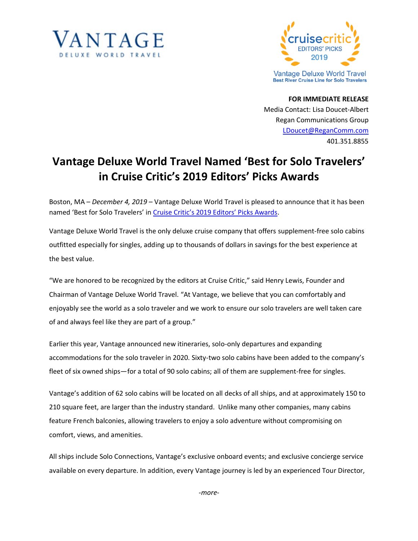



**FOR IMMEDIATE RELEASE** Media Contact: Lisa Doucet-Albert Regan Communications Group [LDoucet@ReganComm.com](mailto:LDoucet@ReganComm.com) 401.351.8855

## **Vantage Deluxe World Travel Named 'Best for Solo Travelers' in Cruise Critic's 2019 Editors' Picks Awards**

Boston, MA – *December 4, 2019* – Vantage Deluxe World Travel is pleased to announce that it has been named 'Best for Solo Travelers' in [Cruise Critic's 2019 Editors' Picks Awards](https://www.cruisecritic.com/editors-picks/river/).

Vantage Deluxe World Travel is the only deluxe cruise company that offers supplement-free solo cabins outfitted especially for singles, adding up to thousands of dollars in savings for the best experience at the best value.

"We are honored to be recognized by the editors at Cruise Critic," said Henry Lewis, Founder and Chairman of Vantage Deluxe World Travel. "At Vantage, we believe that you can comfortably and enjoyably see the world as a solo traveler and we work to ensure our solo travelers are well taken care of and always feel like they are part of a group."

Earlier this year, Vantage announced new itineraries, solo-only departures and expanding accommodations for the solo traveler in 2020. Sixty-two solo cabins have been added to the company's fleet of six owned ships—for a total of 90 solo cabins; all of them are supplement-free for singles.

Vantage's addition of 62 solo cabins will be located on all decks of all ships, and at approximately 150 to 210 square feet, are larger than the industry standard. Unlike many other companies, many cabins feature French balconies, allowing travelers to enjoy a solo adventure without compromising on comfort, views, and amenities.

All ships include Solo Connections, Vantage's exclusive onboard events; and exclusive concierge service available on every departure. In addition, every Vantage journey is led by an experienced Tour Director,

*-more-*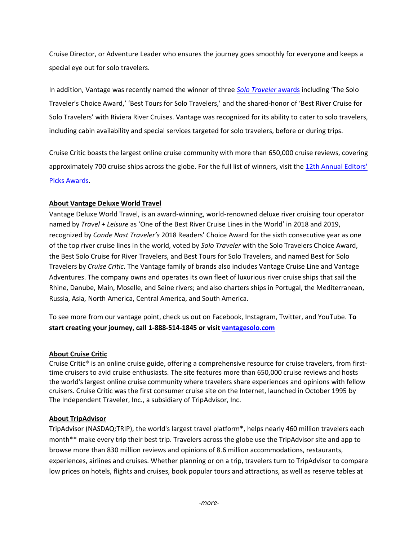Cruise Director, or Adventure Leader who ensures the journey goes smoothly for everyone and keeps a special eye out for solo travelers.

In addition, Vantage was recently named the winner of three *[Solo Traveler](https://solotravelerworld.com/winners-solo-travel-awards/)* awards including 'The Solo Traveler's Choice Award,' 'Best Tours for Solo Travelers,' and the shared-honor of 'Best River Cruise for Solo Travelers' with Riviera River Cruises. Vantage was recognized for its ability to cater to solo travelers, including cabin availability and special services targeted for solo travelers, before or during trips.

Cruise Critic boasts the largest online cruise community with more than 650,000 cruise reviews, covering approximately 700 cruise ships across the globe. For the full list of winners, visit th[e 12th Annual Editors'](https://www.cruisecritic.com/editors-picks/)  [Picks Awards.](https://www.cruisecritic.com/editors-picks/)

## **About Vantage Deluxe World Travel**

Vantage Deluxe World Travel, is an award-winning, world-renowned deluxe river cruising tour operator named by *Travel + Leisure* as 'One of the Best River Cruise Lines in the World' in 2018 and 2019, recognized by *Conde Nast Traveler's* 2018 Readers' Choice Award for the sixth consecutive year as one of the top river cruise lines in the world, voted by *Solo Traveler* with the Solo Travelers Choice Award, the Best Solo Cruise for River Travelers, and Best Tours for Solo Travelers, and named Best for Solo Travelers by *Cruise Critic*. The Vantage family of brands also includes Vantage Cruise Line and Vantage Adventures. The company owns and operates its own fleet of luxurious river cruise ships that sail the Rhine, Danube, Main, Moselle, and Seine rivers; and also charters ships in Portugal, the Mediterranean, Russia, Asia, North America, Central America, and South America.

To see more from our vantage point, check us out on Facebook, Instagram, Twitter, and YouTube. **To start creating your journey, call 1-888-514-1845 or visit [vantagesolo.com](http://vantagesolo.com/)**

## **About Cruise Critic**

Cruise Critic® is an online cruise guide, offering a comprehensive resource for cruise travelers, from firsttime cruisers to avid cruise enthusiasts. The site features more than 650,000 cruise reviews and hosts the world's largest online cruise community where travelers share experiences and opinions with fellow cruisers. Cruise Critic was the first consumer cruise site on the Internet, launched in October 1995 by The Independent Traveler, Inc., a subsidiary of TripAdvisor, Inc.

## **About TripAdvisor**

TripAdvisor (NASDAQ:TRIP), the world's largest travel platform\*, helps nearly 460 million travelers each month\*\* make every trip their best trip. Travelers across the globe use the TripAdvisor site and app to browse more than 830 million reviews and opinions of 8.6 million accommodations, restaurants, experiences, airlines and cruises. Whether planning or on a trip, travelers turn to TripAdvisor to compare low prices on hotels, flights and cruises, book popular tours and attractions, as well as reserve tables at